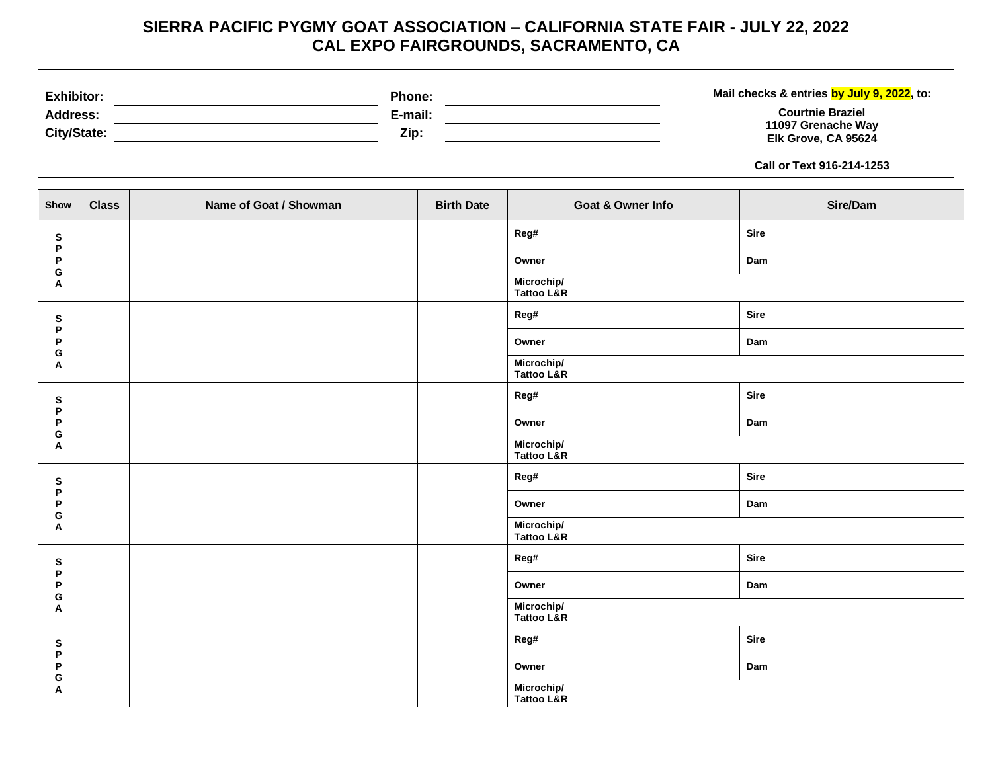## **SIERRA PACIFIC PYGMY GOAT ASSOCIATION – CALIFORNIA STATE FAIR - JULY 22, 2022 CAL EXPO FAIRGROUNDS, SACRAMENTO, CA**

| <b>Exhibitor:</b> | <b>Phone:</b> | Mail checks & entries by July 9, 2022, to:       |
|-------------------|---------------|--------------------------------------------------|
| <b>Address:</b>   | E-mail:       | <b>Courtnie Braziel</b>                          |
| City/State:       | Zip:          | 11097 Grenache Way<br><b>Elk Grove, CA 95624</b> |
|                   |               | Call or Text 916-214-1253                        |

| Show        | <b>Class</b> | Name of Goat / Showman | <b>Birth Date</b> | Goat & Owner Info        | Sire/Dam    |  |
|-------------|--------------|------------------------|-------------------|--------------------------|-------------|--|
| ${\bf s}$   |              |                        |                   | Reg#                     | <b>Sire</b> |  |
| P<br>P      |              |                        |                   | Owner                    | Dam         |  |
| G<br>A      |              |                        |                   | Microchip/<br>Tattoo L&R |             |  |
| ${\bf s}$   |              |                        |                   | Reg#                     | <b>Sire</b> |  |
| P<br>P      |              |                        |                   | Owner                    | Dam         |  |
| G<br>Α      |              |                        |                   | Microchip/<br>Tattoo L&R |             |  |
| ${\bf s}$   |              |                        |                   | Reg#                     | <b>Sire</b> |  |
| P<br>P<br>G |              |                        | Owner             | Dam                      |             |  |
| Α           |              |                        |                   | Microchip/<br>Tattoo L&R |             |  |
| ${\bf s}$   |              |                        |                   | Reg#                     | <b>Sire</b> |  |
| P<br>P      |              |                        |                   | Owner                    | Dam         |  |
| G<br>A      |              |                        |                   | Microchip/<br>Tattoo L&R |             |  |
| ${\bf s}$   |              |                        |                   | Reg#                     | <b>Sire</b> |  |
| P<br>P      |              |                        |                   | Owner                    | Dam         |  |
| G<br>A      |              |                        |                   | Microchip/<br>Tattoo L&R |             |  |
| ${\bf s}$   |              |                        |                   | Reg#                     | <b>Sire</b> |  |
| P<br>P      |              |                        |                   | Owner                    | Dam         |  |
| G<br>A      |              |                        |                   | Microchip/<br>Tattoo L&R |             |  |